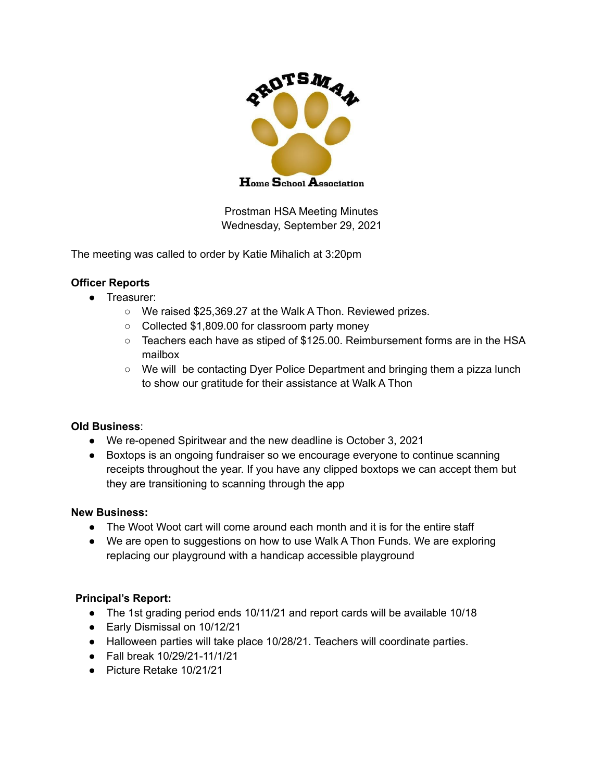

Prostman HSA Meeting Minutes Wednesday, September 29, 2021

The meeting was called to order by Katie Mihalich at 3:20pm

### **Officer Reports**

- Treasurer:
	- We raised \$25,369.27 at the Walk A Thon. Reviewed prizes.
	- Collected \$1,809.00 for classroom party money
	- $\circ$  Teachers each have as stiped of \$125.00. Reimbursement forms are in the HSA mailbox
	- We will be contacting Dyer Police Department and bringing them a pizza lunch to show our gratitude for their assistance at Walk A Thon

#### **Old Business**:

- We re-opened Spiritwear and the new deadline is October 3, 2021
- Boxtops is an ongoing fundraiser so we encourage everyone to continue scanning receipts throughout the year. If you have any clipped boxtops we can accept them but they are transitioning to scanning through the app

#### **New Business:**

- The Woot Woot cart will come around each month and it is for the entire staff
- We are open to suggestions on how to use Walk A Thon Funds. We are exploring replacing our playground with a handicap accessible playground

# **Principal's Report:**

- The 1st grading period ends 10/11/21 and report cards will be available 10/18
- Early Dismissal on 10/12/21
- Halloween parties will take place 10/28/21. Teachers will coordinate parties.
- Fall break 10/29/21-11/1/21
- Picture Retake 10/21/21